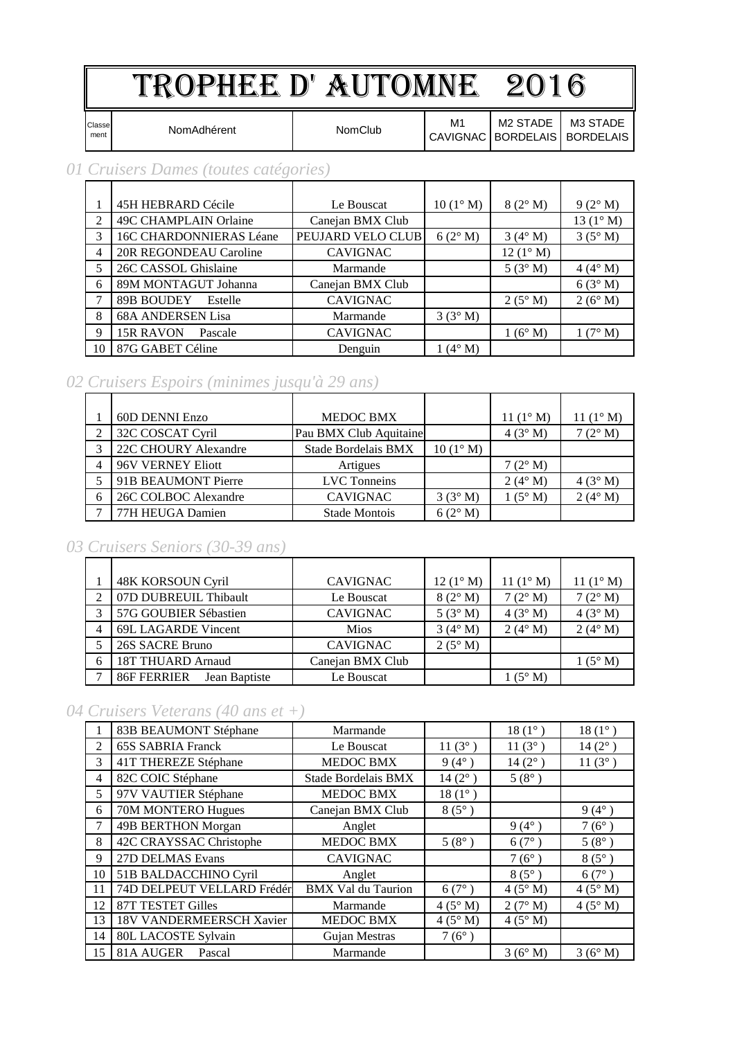# TROPHEE D' AUTOMNE 2016

Classe<br>ment

Ment NomAdhérent NomClub M1

M3 STADE BORDELAIS

M2 STADE

CAVIGNAC BORDELAIS

#### *01 Cruisers Dames (toutes catégories)*

|                | 45H HEBRARD Cécile          | Le Bouscat        | $10(1^{\circ} M)$ | $8(2^{\circ} M)$  | $9(2^{\circ} M)$   |
|----------------|-----------------------------|-------------------|-------------------|-------------------|--------------------|
| 2              | 49C CHAMPLAIN Orlaine       | Canejan BMX Club  |                   |                   | 13 $(1^{\circ} M)$ |
| 3              | 16C CHARDONNIERAS Léane     | PEUJARD VELO CLUB | 6(2° M)           | $3(4^\circ M)$    | $3(5^\circ M)$     |
| $\overline{4}$ | 20R REGONDEAU Caroline      | <b>CAVIGNAC</b>   |                   | $12(1^{\circ} M)$ |                    |
| 5              | 26C CASSOL Ghislaine        | Marmande          |                   | 5(3° M)           | $4(4^\circ M)$     |
| 6              | 89M MONTAGUT Johanna        | Canejan BMX Club  |                   |                   | 6(3° M)            |
| 7              | 89B BOUDEY<br>Estelle       | <b>CAVIGNAC</b>   |                   | $2(5^\circ M)$    | 2(6° M)            |
| 8              | <b>68A ANDERSEN Lisa</b>    | Marmande          | 3(3° M)           |                   |                    |
| 9              | <b>15R RAVON</b><br>Pascale | <b>CAVIGNAC</b>   |                   | 1(6° M)           | 1(7° M)            |
| 10             | 87G GABET Céline            | Denguin           | $1(4^\circ M)$    |                   |                    |

#### *02 Cruisers Espoirs (minimes jusqu'à 29 ans)*

|   | 60D DENNI Enzo       | <b>MEDOC BMX</b>       |                   | 11 $(1^{\circ} M)$ | 11 $(1^{\circ} M)$ |
|---|----------------------|------------------------|-------------------|--------------------|--------------------|
|   | 32C COSCAT Cyril     | Pau BMX Club Aquitaine |                   | 4(3° M)            | $7(2^{\circ} M)$   |
|   | 22C CHOURY Alexandre | Stade Bordelais BMX    | $10(1^{\circ} M)$ |                    |                    |
|   | 96V VERNEY Eliott    | Artigues               |                   | $7(2^{\circ} M)$   |                    |
|   | 91B BEAUMONT Pierre  | <b>LVC</b> Tonneins    |                   | $2(4^{\circ} M)$   | 4(3° M)            |
| 6 | 26C COLBOC Alexandre | <b>CAVIGNAC</b>        | 3(3° M)           | $1(5^\circ M)$     | $2(4^\circ M)$     |
|   | 77H HEUGA Damien     | <b>Stade Montois</b>   | $6(2^{\circ} M)$  |                    |                    |

#### *03 Cruisers Seniors (30-39 ans)*

| 48K KORSOUN Cyril            | <b>CAVIGNAC</b>  | $12(1^{\circ} M)$ | 11 $(1^{\circ} M)$ | 11 $(1^{\circ} M)$ |
|------------------------------|------------------|-------------------|--------------------|--------------------|
| 07D DUBREUIL Thibault        | Le Bouscat       | 8(2° M)           | $7(2^{\circ} M)$   | $7(2^{\circ} M)$   |
| 57G GOUBIER Sébastien        | <b>CAVIGNAC</b>  | $5(3^\circ M)$    | 4(3° M)            | 4(3° M)            |
| 69L LAGARDE Vincent          | <b>Mios</b>      | $3(4^\circ M)$    | $2(4°)$ M)         | $2(4^\circ M)$     |
| 26S SACRE Bruno              | <b>CAVIGNAC</b>  | $2(5^\circ M)$    |                    |                    |
| 18T THUARD Arnaud            | Canejan BMX Club |                   |                    | $1(5^\circ M)$     |
| 86F FERRIER<br>Jean Baptiste | Le Bouscat       |                   | $(5^\circ M)$      |                    |

#### *04 Cruisers Veterans (40 ans et +)*

|                | 83B BEAUMONT Stéphane      | Marmande                  |                 | $18(1^{\circ})$ | $18(1^{\circ})$  |
|----------------|----------------------------|---------------------------|-----------------|-----------------|------------------|
| 2              | <b>65S SABRIA Franck</b>   | Le Bouscat                | $11(3^{\circ})$ | $11(3^{\circ})$ | 14 $(2^{\circ})$ |
| 3              | 41T THEREZE Stéphane       | <b>MEDOC BMX</b>          | $9(4^{\circ})$  | $14(2^{\circ})$ | $11(3^{\circ})$  |
| $\overline{4}$ | 82C COIC Stéphane          | Stade Bordelais BMX       | $14(2^{\circ})$ | $5(8^{\circ})$  |                  |
| 5              | 97V VAUTIER Stéphane       | MEDOC BMX                 | $18(1^{\circ})$ |                 |                  |
| 6              | 70M MONTERO Hugues         | Canejan BMX Club          | $8(5^\circ)$    |                 | $9(4^{\circ})$   |
| 7              | 49B BERTHON Morgan         | Anglet                    |                 | $9(4^{\circ})$  | $7(6^{\circ})$   |
| 8              | 42C CRAYSSAC Christophe    | MEDOC BMX                 | $5(8^{\circ})$  | $6(7^{\circ})$  | $5(8^{\circ})$   |
| 9              | 27D DELMAS Evans           | <b>CAVIGNAC</b>           |                 | $7(6^{\circ})$  | $8(5^\circ)$     |
| 10             | 51B BALDACCHINO Cyril      | Anglet                    |                 | $8(5^\circ)$    | $6(7^{\circ})$   |
| 11             | 74D DELPEUT VELLARD Frédér | <b>BMX Val du Taurion</b> | $6(7^{\circ})$  | 4(5° M)         | $4(5^\circ M)$   |
| 12             | <b>87T TESTET Gilles</b>   | Marmande                  | $4(5^\circ M)$  | 2(7° M)         | $4(5^\circ M)$   |
| 13             | 18V VANDERMEERSCH Xavier   | <b>MEDOC BMX</b>          | $4(5^\circ M)$  | $4(5^\circ M)$  |                  |
| 14             | 80L LACOSTE Sylvain        | Gujan Mestras             | $7(6^{\circ})$  |                 |                  |
| 15             | 81A AUGER<br>Pascal        | Marmande                  |                 | 3(6° M)         | 3(6° M)          |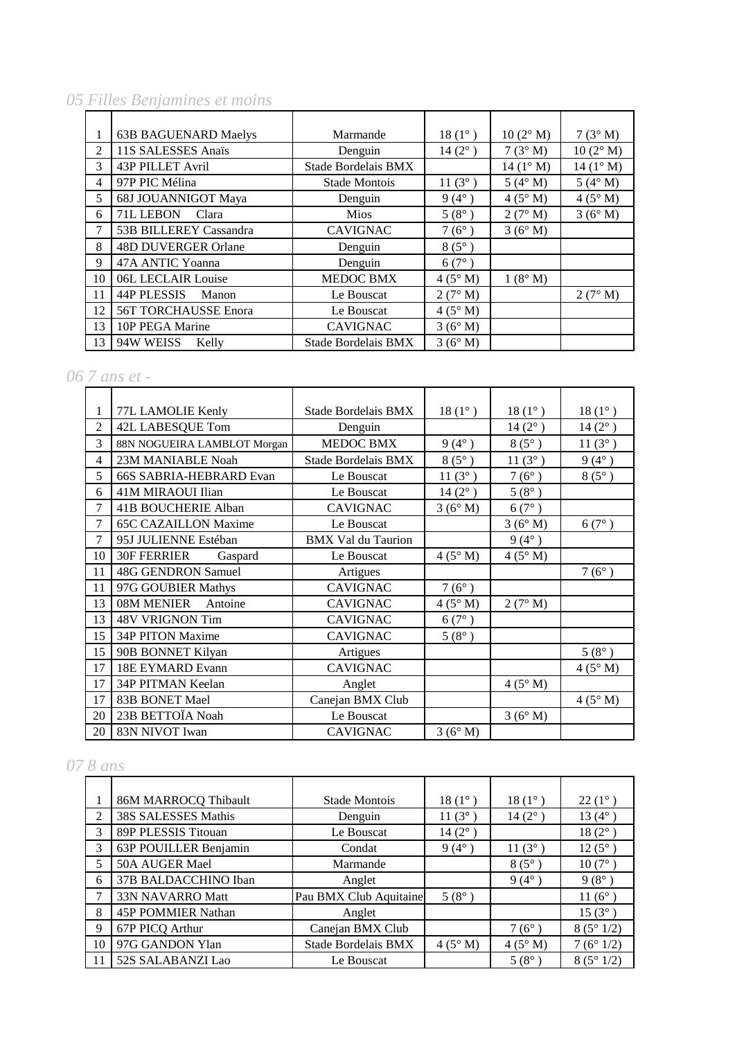## *05 Filles Benjamines et moins*

|                | <b>63B BAGUENARD Maelys</b> | Marmande             | $18(1^{\circ})$  | $10(2^{\circ} M)$ | 7(3° M)            |
|----------------|-----------------------------|----------------------|------------------|-------------------|--------------------|
| 2              | 11S SALESSES Anaïs          | Denguin              | $14(2^{\circ})$  | 7(3° M)           | $10(2^{\circ} M)$  |
| 3              | 43P PILLET Avril            | Stade Bordelais BMX  |                  | $14(1^{\circ} M)$ | 14 $(1^{\circ} M)$ |
| $\overline{4}$ | 97P PIC Mélina              | <b>Stade Montois</b> | 11 $(3^{\circ})$ | 5 ( $4^\circ$ M)  | $5(4^\circ M)$     |
| 5              | 68J JOUANNIGOT Maya         | Denguin              | $9(4^{\circ})$   | 4(5° M)           | $4(5^\circ M)$     |
| 6              | 71L LEBON<br>Clara          | <b>Mios</b>          | $5(8^{\circ})$   | 2(7° M)           | 3(6° M)            |
| 7              | 53B BILLEREY Cassandra      | <b>CAVIGNAC</b>      | $7(6^{\circ})$   | 3(6° M)           |                    |
| 8              | <b>48D DUVERGER Orlane</b>  | Denguin              | $8(5^\circ)$     |                   |                    |
| 9              | 47A ANTIC Yoanna            | Denguin              | $6(7^{\circ})$   |                   |                    |
| 10             | 06L LECLAIR Louise          | <b>MEDOC BMX</b>     | 4(5° M)          | 1(8° M)           |                    |
| 11             | 44P PLESSIS<br>Manon        | Le Bouscat           | 2(7° M)          |                   | 2(7° M)            |
| 12             | <b>56T TORCHAUSSE Enora</b> | Le Bouscat           | 4(5° M)          |                   |                    |
| 13             | 10P PEGA Marine             | <b>CAVIGNAC</b>      | 3(6° M)          |                   |                    |
| 13             | 94W WEISS<br>Kelly          | Stade Bordelais BMX  | 3(6° M)          |                   |                    |

# *06 7 ans et -*

|        | 77L LAMOLIE Kenly           | Stade Bordelais BMX       | $18(1^{\circ})$  | $18(1^{\circ})$ | $18(1^{\circ})$ |
|--------|-----------------------------|---------------------------|------------------|-----------------|-----------------|
| 2      | 42L LABESQUE Tom            | Denguin                   |                  | $14(2^{\circ})$ | $14(2^{\circ})$ |
| 3      | 88N NOGUEIRA LAMBLOT Morgan | <b>MEDOC BMX</b>          | $9(4^{\circ})$   | $8(5^\circ)$    | $11(3^{\circ})$ |
| 4      | 23M MANIABLE Noah           | Stade Bordelais BMX       | $8(5^\circ)$     | $11(3^{\circ})$ | $9(4^{\circ})$  |
| 5      | 66S SABRIA-HEBRARD Evan     | Le Bouscat                | 11 $(3^{\circ})$ | $7(6^{\circ})$  | $8(5^{\circ})$  |
| 6      | 41M MIRAOUI Ilian           | Le Bouscat                | $14(2^{\circ})$  | $5(8^{\circ})$  |                 |
| 7      | 41B BOUCHERIE Alban         | <b>CAVIGNAC</b>           | 3(6° M)          | $6(7^{\circ})$  |                 |
| 7      | <b>65C CAZAILLON Maxime</b> | Le Bouscat                |                  | 3(6° M)         | $6(7^{\circ})$  |
| $\tau$ | 95J JULIENNE Estéban        | <b>BMX Val du Taurion</b> |                  | $9(4^{\circ})$  |                 |
| 10     | 30F FERRIER<br>Gaspard      | Le Bouscat                | $4(5^\circ M)$   | $4(5^\circ M)$  |                 |
| 11     | 48G GENDRON Samuel          | Artigues                  |                  |                 | $7(6^{\circ})$  |
| 11     | 97G GOUBIER Mathys          | <b>CAVIGNAC</b>           | $7(6^{\circ})$   |                 |                 |
| 13     | 08M MENIER<br>Antoine       | <b>CAVIGNAC</b>           | $4(5^\circ M)$   | 2(7° M)         |                 |
| 13     | 48V VRIGNON Tim             | <b>CAVIGNAC</b>           | $6(7^{\circ})$   |                 |                 |
| 15     | 34P PITON Maxime            | <b>CAVIGNAC</b>           | $5(8^{\circ})$   |                 |                 |
| 15     | 90B BONNET Kilyan           | Artigues                  |                  |                 | $5(8^{\circ})$  |
| 17     | 18E EYMARD Evann            | <b>CAVIGNAC</b>           |                  |                 | $4(5^\circ M)$  |
| 17     | 34P PITMAN Keelan           | Anglet                    |                  | 4(5° M)         |                 |
| 17     | 83B BONET Mael              | Canejan BMX Club          |                  |                 | $4(5^\circ M)$  |
| 20     | 23B BETTOÏA Noah            | Le Bouscat                |                  | 3(6° M)         |                 |
| 20     | 83N NIVOT Iwan              | <b>CAVIGNAC</b>           | 3(6° M)          |                 |                 |

### *07 8 ans*

|    | 86M MARROCQ Thibault  | <b>Stade Montois</b>   | $18(1^{\circ})$ | $18(1^{\circ})$ | $22(1^{\circ})$  |
|----|-----------------------|------------------------|-----------------|-----------------|------------------|
| 2  | 38S SALESSES Mathis   | Denguin                | $11(3^{\circ})$ | $14(2^{\circ})$ | 13 $(4^{\circ})$ |
| 3  | 89P PLESSIS Titouan   | Le Bouscat             | $14(2^{\circ})$ |                 | $18(2^{\circ})$  |
| 3  | 63P POUILLER Benjamin | Condat                 | $9(4^{\circ})$  | $11(3^{\circ})$ | $12(5^{\circ})$  |
| 5  | 50A AUGER Mael        | Marmande               |                 | $8(5^\circ)$    | $10(7^{\circ})$  |
| 6  | 37B BALDACCHINO Iban  | Anglet                 |                 | $9(4^{\circ})$  | $9(8^\circ)$     |
| 7  | 33N NAVARRO Matt      | Pau BMX Club Aquitaine | $5(8^{\circ})$  |                 | 11 $(6^{\circ})$ |
| 8  | 45P POMMIER Nathan    | Anglet                 |                 |                 | $15(3^{\circ})$  |
| 9  | 67P PICQ Arthur       | Canejan BMX Club       |                 | $7(6^{\circ})$  | 8(5°1/2)         |
| 10 | 97G GANDON Ylan       | Stade Bordelais BMX    | $4(5^\circ M)$  | $4(5^\circ M)$  | 7(6°1/2)         |
| 11 | 52S SALABANZI Lao     | Le Bouscat             |                 | $5(8^\circ)$    | 8(5°1/2)         |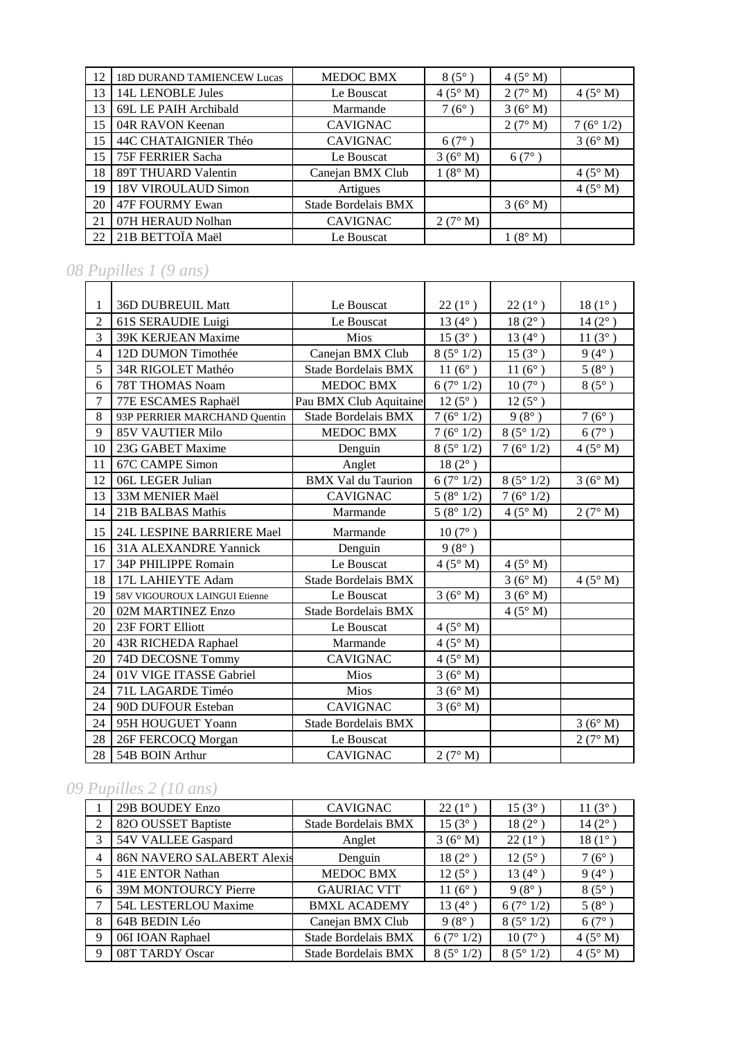| 12 | <b>18D DURAND TAMIENCEW Lucas</b> | <b>MEDOC BMX</b>    | $8(5^\circ)$   | $4(5^\circ M)$ |                |
|----|-----------------------------------|---------------------|----------------|----------------|----------------|
| 13 | 14L LENOBLE Jules                 | Le Bouscat          | $4(5^\circ M)$ | 2(7° M)        | $4(5^\circ M)$ |
| 13 | 69L LE PAIH Archibald             | Marmande            | $7(6^{\circ})$ | 3(6° M)        |                |
| 15 | 04R RAVON Keenan                  | <b>CAVIGNAC</b>     |                | 2(7° M)        | 7(6°1/2)       |
| 15 | 44C CHATAIGNIER Théo              | <b>CAVIGNAC</b>     | $6(7^{\circ})$ |                | 3(6° M)        |
| 15 | 75F FERRIER Sacha                 | Le Bouscat          | 3(6° M)        | $6(7^{\circ})$ |                |
| 18 | 89T THUARD Valentin               | Canejan BMX Club    | 1(8° M)        |                | $4(5^\circ M)$ |
| 19 | 18V VIROULAUD Simon               | Artigues            |                |                | $4(5^\circ M)$ |
| 20 | 47F FOURMY Ewan                   | Stade Bordelais BMX |                | 3(6° M)        |                |
| 21 | 07H HERAUD Nolhan                 | <b>CAVIGNAC</b>     | 2(7° M)        |                |                |
| 22 | 21B BETTOÏA Maël                  | Le Bouscat          |                | $1(8^\circ M)$ |                |

# *08 Pupilles 1 (9 ans)*

| 1              | 36D DUBREUIL Matt             | Le Bouscat                 | $22(1^{\circ})$     | $22(1^{\circ})$      | $18(1^{\circ})$ |
|----------------|-------------------------------|----------------------------|---------------------|----------------------|-----------------|
| $\overline{2}$ | 61S SERAUDIE Luigi            | Le Bouscat                 | $13(4^{\circ})$     | $18(2^{\circ})$      | $14(2^{\circ})$ |
| $\overline{3}$ | 39K KERJEAN Maxime            | Mios                       | $15(3^{\circ})$     | $13(4^{\circ})$      | $11(3^{\circ})$ |
| $\overline{4}$ | 12D DUMON Timothée            | Canejan BMX Club           | 8(5°1/2)            | $15(3^{\circ})$      | $9(4^{\circ})$  |
| 5              | 34R RIGOLET Mathéo            | <b>Stade Bordelais BMX</b> | $11(6^{\circ})$     | $11(6^{\circ})$      | $5(8^{\circ})$  |
| 6              | 78T THOMAS Noam               | <b>MEDOC BMX</b>           | 6(7°1/2)            | $10(7^{\circ})$      | $8(5^\circ)$    |
| $\overline{7}$ | 77E ESCAMES Raphaël           | Pau BMX Club Aquitaine     | $12(5^{\circ})$     | $12(5^{\circ})$      |                 |
| 8              | 93P PERRIER MARCHAND Quentin  | <b>Stade Bordelais BMX</b> | 7(6°1/2)            | $9(8^{\circ})$       | $7(6^{\circ})$  |
| 9              | <b>85V VAUTIER Milo</b>       | <b>MEDOC BMX</b>           | 7(6°1/2)            | 8(5°1/2)             | $6(7^\circ)$    |
| 10             | 23G GABET Maxime              | Denguin                    | 8(5°1/2)            | 7(6°1/2)             | $4(5^\circ M)$  |
| 11             | <b>67C CAMPE Simon</b>        | Anglet                     | $18(2^{\circ})$     |                      |                 |
| 12             | 06L LEGER Julian              | <b>BMX Val du Taurion</b>  | 6(7°1/2)            | 8(5°1/2)             | 3(6° M)         |
| 13             | 33M MENIER Maël               | <b>CAVIGNAC</b>            | 5(8°1/2)            | 7 ( $6^{\circ}$ 1/2) |                 |
| 14             | 21B BALBAS Mathis             | Marmande                   | $5\ (8^\circ\ 1/2)$ | $4(5^\circ M)$       | 2(7° M)         |
| 15             | 24L LESPINE BARRIERE Mael     | Marmande                   | $10(7^{\circ})$     |                      |                 |
| 16             | 31A ALEXANDRE Yannick         | Denguin                    | $9(8^{\circ})$      |                      |                 |
| 17             | 34P PHILIPPE Romain           | Le Bouscat                 | 4(5° M)             | $4(5^\circ M)$       |                 |
| 18             | 17L LAHIEYTE Adam             | <b>Stade Bordelais BMX</b> |                     | 3(6° M)              | $4(5^\circ M)$  |
| 19             | 58V VIGOUROUX LAINGUI Etienne | Le Bouscat                 | 3(6°M)              | 3(6° M)              |                 |
| 20             | 02M MARTINEZ Enzo             | <b>Stade Bordelais BMX</b> |                     | 4(5° M)              |                 |
| 20             | 23F FORT Elliott              | Le Bouscat                 | $4(5^\circ M)$      |                      |                 |
| 20             | 43R RICHEDA Raphael           | Marmande                   | $4(5^\circ M)$      |                      |                 |
| 20             | 74D DECOSNE Tommy             | <b>CAVIGNAC</b>            | $4(5^\circ M)$      |                      |                 |
| 24             | 01V VIGE ITASSE Gabriel       | <b>Mios</b>                | 3(6° M)             |                      |                 |
| 24             | 71L LAGARDE Timéo             | Mios                       | 3(6° M)             |                      |                 |
| 24             | 90D DUFOUR Esteban            | <b>CAVIGNAC</b>            | 3(6° M)             |                      |                 |
| 24             | 95H HOUGUET Yoann             | <b>Stade Bordelais BMX</b> |                     |                      | 3(6° M)         |
| 28             | 26F FERCOCQ Morgan            | Le Bouscat                 |                     |                      | 2(7° M)         |
| 28             | 54B BOIN Arthur               | <b>CAVIGNAC</b>            | 2(7° M)             |                      |                 |

# *09 Pupilles 2 (10 ans)*

|                | 29B BOUDEY Enzo             | <b>CAVIGNAC</b>     | $22(1^{\circ})$   | $15(3^{\circ})$   | 11 $(3^{\circ}$  |
|----------------|-----------------------------|---------------------|-------------------|-------------------|------------------|
| $\mathfrak{D}$ | 82O OUSSET Baptiste         | Stade Bordelais BMX | $15(3^{\circ})$   | $18(2^{\circ})$   | 14 $(2^{\circ})$ |
| 3              | 54V VALLEE Gaspard          | Anglet              | 3(6° M)           | $22(1^{\circ})$   | $18(1^{\circ})$  |
| $\overline{4}$ | 86N NAVERO SALABERT Alexis  | Denguin             | $18(2^{\circ})$   | $12(5^{\circ})$   | $7(6^{\circ})$   |
|                | 41E ENTOR Nathan            | <b>MEDOC BMX</b>    | $12(5^{\circ})$   | 13 $(4^{\circ}$   | $9(4^{\circ})$   |
| 6              | <b>39M MONTOURCY Pierre</b> | <b>GAURIAC VTT</b>  | 11 $(6^{\circ})$  | $9(8^{\circ})$    | $8(5^\circ)$     |
|                | 54L LESTERLOU Maxime        | <b>BMXL ACADEMY</b> | 13 $(4^{\circ})$  | 6(7°1/2)          | $5(8^{\circ})$   |
| 8              | 64B BEDIN Léo               | Canejan BMX Club    | $9(8^{\circ})$    | $8(5^{\circ}1/2)$ | $6(7^{\circ})$   |
| 9              | 06I IOAN Raphael            | Stade Bordelais BMX | 6(7°1/2)          | $10(7^\circ$      | $4(5^\circ M)$   |
| 9              | 08T TARDY Oscar             | Stade Bordelais BMX | $8(5^{\circ}1/2)$ | $8(5^{\circ}1/2)$ | $4(5^\circ M)$   |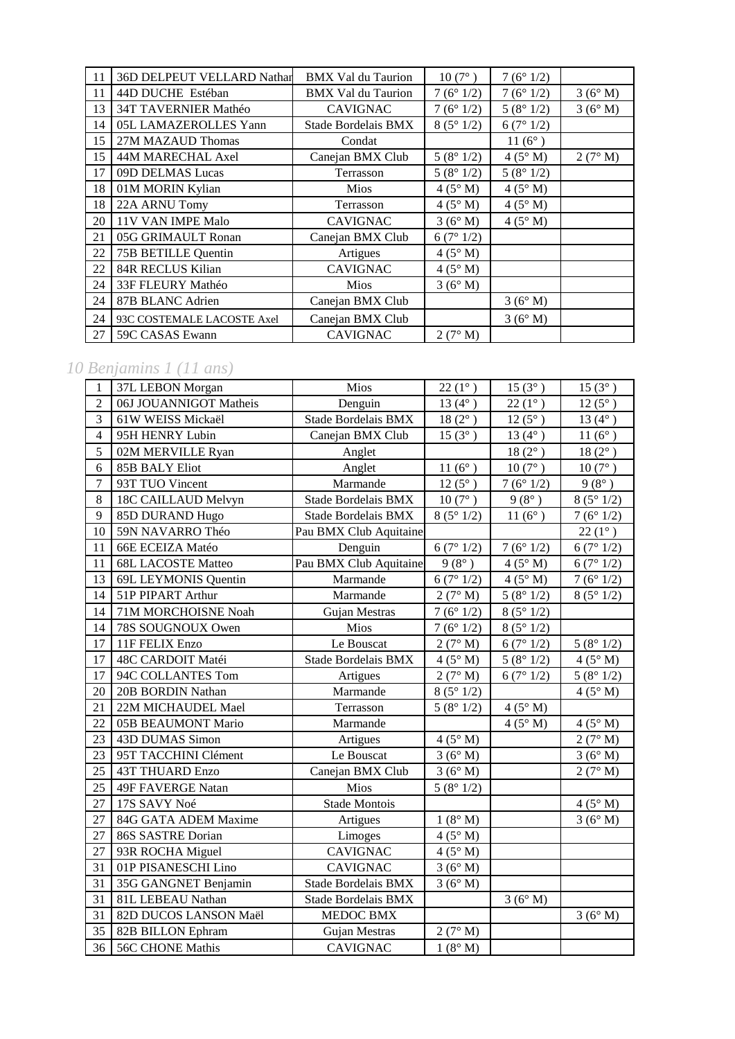| 11 | 36D DELPEUT VELLARD Nathar | <b>BMX Val du Taurion</b> | $10(7^{\circ})$ | 7(6°1/2)        |         |
|----|----------------------------|---------------------------|-----------------|-----------------|---------|
| 11 | 44D DUCHE Estéban          | <b>BMX</b> Val du Taurion | 7(6°1/2)        | 7(6°1/2)        | 3(6° M) |
| 13 | 34T TAVERNIER Mathéo       | <b>CAVIGNAC</b>           | 7(6°1/2)        | 5(8°1/2)        | 3(6° M) |
| 14 | 05L LAMAZEROLLES Yann      | Stade Bordelais BMX       | 8(5°1/2)        | 6(7°1/2)        |         |
| 15 | 27M MAZAUD Thomas          | Condat                    |                 | $11(6^{\circ})$ |         |
| 15 | 44M MARECHAL Axel          | Canejan BMX Club          | 5(8°1/2)        | $4(5^\circ M)$  | 2(7° M) |
| 17 | 09D DELMAS Lucas           | Terrasson                 | 5(8°1/2)        | 5(8°1/2)        |         |
| 18 | 01M MORIN Kylian           | <b>Mios</b>               | $4(5^\circ M)$  | $4(5^\circ M)$  |         |
| 18 | 22A ARNU Tomy              | Terrasson                 | $4(5^\circ M)$  | $4(5^\circ M)$  |         |
| 20 | 11V VAN IMPE Malo          | <b>CAVIGNAC</b>           | 3(6° M)         | 4(5° M)         |         |
| 21 | 05G GRIMAULT Ronan         | Canejan BMX Club          | 6(7°1/2)        |                 |         |
| 22 | 75B BETILLE Quentin        | Artigues                  | $4(5^\circ M)$  |                 |         |
| 22 | 84R RECLUS Kilian          | <b>CAVIGNAC</b>           | $4(5^\circ M)$  |                 |         |
| 24 | 33F FLEURY Mathéo          | <b>Mios</b>               | 3(6° M)         |                 |         |
| 24 | 87B BLANC Adrien           | Canejan BMX Club          |                 | 3(6° M)         |         |
| 24 | 93C COSTEMALE LACOSTE Axel | Canejan BMX Club          |                 | 3(6° M)         |         |
| 27 | 59C CASAS Ewann            | <b>CAVIGNAC</b>           | 2(7° M)         |                 |         |

## *10 Benjamins 1 (11 ans)*

| $\mathbf{1}$     | 37L LEBON Morgan          | Mios                       | $22(1^{\circ})$         | $15(3^{\circ})$        | $15(3^{\circ})$        |
|------------------|---------------------------|----------------------------|-------------------------|------------------------|------------------------|
| $\overline{2}$   | 06J JOUANNIGOT Matheis    | Denguin                    | 13 $(4^{\circ})$        | $22(1^{\circ})$        | $12(5^{\circ})$        |
| 3                | 61W WEISS Mickaël         | Stade Bordelais BMX        | $18(2^{\circ})$         | $12(5^{\circ})$        | 13 $(4^{\circ})$       |
| $\overline{4}$   | 95H HENRY Lubin           | Canejan BMX Club           | $15(3^{\circ})$         | 13 $(4^{\circ})$       | 11 $(6^{\circ})$       |
| 5                | 02M MERVILLE Ryan         | Anglet                     |                         | $18(2^{\circ})$        | $18(2^{\circ})$        |
| 6                | <b>85B BALY Eliot</b>     | Anglet                     | $11(6^{\circ})$         | $10(7^{\circ})$        | $10(7^{\circ})$        |
| $\boldsymbol{7}$ | 93T TUO Vincent           | Marmande                   | $12(5^{\circ})$         | 7(6°1/2)               | $9(8^{\circ})$         |
| 8                | 18C CAILLAUD Melvyn       | Stade Bordelais BMX        | $10(7^{\circ})$         | $9(8^{\circ})$         | 8(5°1/2)               |
| 9                | 85D DURAND Hugo           | Stade Bordelais BMX        | 8(5°1/2)                | $11(6^{\circ})$        | $\frac{1}{7}$ (6° 1/2) |
| 10               | 59N NAVARRO Théo          | Pau BMX Club Aquitaine     |                         |                        | $22(1^{\circ})$        |
| 11               | 66E ECEIZA Matéo          | Denguin                    | $\frac{1}{6}$ (7° 1/2)  | 7(6°1/2)               | 6(7°1/2)               |
| 11               | <b>68L LACOSTE Matteo</b> | Pau BMX Club Aquitaine     | $9(8^{\circ})$          | 4(5° M)                | 6(7°1/2)               |
| 13               | 69L LEYMONIS Quentin      | Marmande                   | 6(7°1/2)                | 4(5° M)                | 7(6°1/2)               |
| 14               | 51P PIPART Arthur         | Marmande                   | 2(7° M)                 | 5(8°1/2)               | 8(5°1/2)               |
| 14               | 71M MORCHOISNE Noah       | Gujan Mestras              | 7(6°1/2)                | 8(5°1/2)               |                        |
| 14               | 78S SOUGNOUX Owen         | Mios                       | 7(6°1/2)                | 8(5°1/2)               |                        |
| 17               | 11F FELIX Enzo            | Le Bouscat                 | 2(7° M)                 | 6(7°1/2)               | 5(8°1/2)               |
| 17               | 48C CARDOIT Matéi         | Stade Bordelais BMX        | 4(5° M)                 | $\frac{1}{5}$ (8° 1/2) | 4(5° M)                |
| 17               | 94C COLLANTES Tom         | Artigues                   | 2(7° M)                 | 6(7°1/2)               | 5(8°1/2)               |
| 20               | 20B BORDIN Nathan         | Marmande                   | 8(5°1/2)                |                        | 4(5° M)                |
| 21               | 22M MICHAUDEL Mael        | Terrasson                  | $\overline{5}$ (8° 1/2) | 4(5° M)                |                        |
| 22               | 05B BEAUMONT Mario        | Marmande                   |                         | 4(5° M)                | 4(5° M)                |
| 23               | 43D DUMAS Simon           | Artigues                   | 4(5° M)                 |                        | 2(7° M)                |
| 23               | 95T TACCHINI Clément      | Le Bouscat                 | 3(6° M)                 |                        | 3(6° M)                |
| 25               | <b>43T THUARD Enzo</b>    | Canejan BMX Club           | $\overline{3}$ (6° M)   |                        | 2(7° M)                |
| 25               | 49F FAVERGE Natan         | Mios                       | 5(8°1/2)                |                        |                        |
| 27               | 17S SAVY Noé              | <b>Stade Montois</b>       |                         |                        | 4(5° M)                |
| 27               | 84G GATA ADEM Maxime      | Artigues                   | 1(8° M)                 |                        | 3(6° M)                |
| 27               | 86S SASTRE Dorian         | Limoges                    | $4(5^\circ M)$          |                        |                        |
| 27               | 93R ROCHA Miguel          | CAVIGNAC                   | $4(5^{\circ} M)$        |                        |                        |
| 31               | 01P PISANESCHI Lino       | <b>CAVIGNAC</b>            | 3(6° M)                 |                        |                        |
| 31               | 35G GANGNET Benjamin      | <b>Stade Bordelais BMX</b> | 3(6° M)                 |                        |                        |
| 31               | 81L LEBEAU Nathan         | Stade Bordelais BMX        |                         | 3(6°M)                 |                        |
| 31               | 82D DUCOS LANSON Maël     | <b>MEDOC BMX</b>           |                         |                        | 3(6° M)                |
| 35               | 82B BILLON Ephram         | Gujan Mestras              | 2(7° M)                 |                        |                        |
| 36               | <b>56C CHONE Mathis</b>   | <b>CAVIGNAC</b>            | 1(8° M)                 |                        |                        |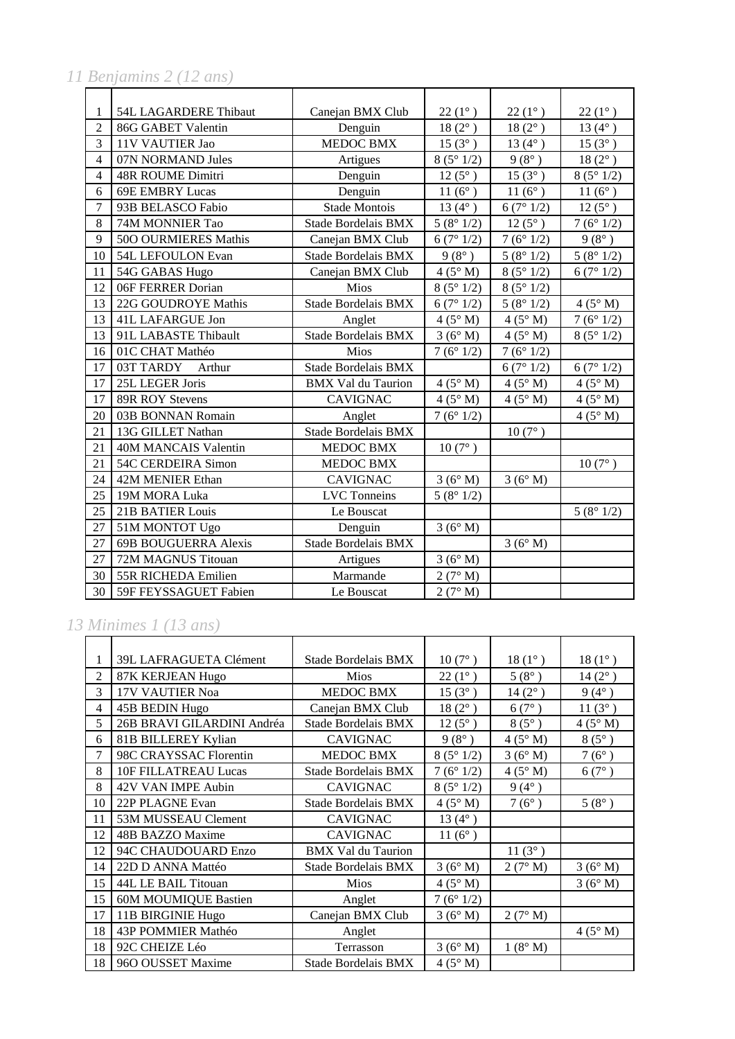*11 Benjamins 2 (12 ans)*

| 1              | 54L LAGARDERE Thibaut       | Canejan BMX Club           | $22(1^{\circ})$  | $22(1^{\circ})$        | $22(1^{\circ})$  |
|----------------|-----------------------------|----------------------------|------------------|------------------------|------------------|
| $\overline{2}$ | 86G GABET Valentin          | Denguin                    | $18(2^{\circ})$  | $18(2^{\circ})$        | 13 $(4^{\circ})$ |
| 3              | 11V VAUTIER Jao             | <b>MEDOC BMX</b>           | $15(3^{\circ})$  | $13(4^{\circ})$        | $15(3^{\circ})$  |
| $\overline{4}$ | 07N NORMAND Jules           | Artigues                   | 8(5°1/2)         | $9(8^{\circ})$         | $18(2^{\circ})$  |
| $\overline{4}$ | <b>48R ROUME Dimitri</b>    | Denguin                    | $12(5^{\circ})$  | $15(3^{\circ})$        | 8(5°1/2)         |
| 6              | <b>69E EMBRY Lucas</b>      | Denguin                    | $11(6^{\circ})$  | $11(6^{\circ})$        | 11 $(6^{\circ})$ |
| $\overline{7}$ | 93B BELASCO Fabio           | Stade Montois              | 13 $(4^{\circ})$ | 6(7°1/2)               | $12(5^{\circ})$  |
| 8              | 74M MONNIER Tao             | <b>Stade Bordelais BMX</b> | 5(8°1/2)         | $12(5^{\circ})$        | 7(6°1/2)         |
| 9              | 500 OURMIERES Mathis        | Canejan BMX Club           | 6(7°1/2)         | 7(6°1/2)               | $9(8^{\circ})$   |
| 10             | 54L LEFOULON Evan           | <b>Stade Bordelais BMX</b> | $9(8^{\circ})$   | 5(8°1/2)               | 5(8°1/2)         |
| 11             | 54G GABAS Hugo              | Canejan BMX Club           | $4(5^\circ M)$   | $\sqrt{8}$ (5° 1/2)    | 6(7°1/2)         |
| 12             | 06F FERRER Dorian           | Mios                       | 8(5°1/2)         | 8(5°1/2)               |                  |
| 13             | 22G GOUDROYE Mathis         | <b>Stade Bordelais BMX</b> | 6(7°1/2)         | 5(8°1/2)               | 4(5° M)          |
| 13             | 41L LAFARGUE Jon            | Anglet                     | $4(5^\circ M)$   | $4(5^\circ M)$         | 7(6°1/2)         |
| 13             | 91L LABASTE Thibault        | <b>Stade Bordelais BMX</b> | 3(6° M)          | $4(5^\circ M)$         | 8(5°1/2)         |
| 16             | 01C CHAT Mathéo             | Mios                       | 7(6°1/2)         | 7(6°1/2)               |                  |
| 17             | 03T TARDY<br>Arthur         | <b>Stade Bordelais BMX</b> |                  | $\frac{1}{6}$ (7° 1/2) | 6(7°1/2)         |
| 17             | 25L LEGER Joris             | <b>BMX Val du Taurion</b>  | $4(5^\circ M)$   | 4(5° M)                | 4(5° M)          |
| 17             | 89R ROY Stevens             | <b>CAVIGNAC</b>            | 4(5° M)          | $4(5^\circ M)$         | 4(5° M)          |
| 20             | 03B BONNAN Romain           | Anglet                     | 7(6°1/2)         |                        | 4(5° M)          |
| 21             | 13G GILLET Nathan           | <b>Stade Bordelais BMX</b> |                  | $10(7^{\circ})$        |                  |
| 21             | 40M MANCAIS Valentin        | <b>MEDOC BMX</b>           | $10(7^{\circ})$  |                        |                  |
| 21             | 54C CERDEIRA Simon          | <b>MEDOC BMX</b>           |                  |                        | $10(7^{\circ})$  |
| 24             | 42M MENIER Ethan            | <b>CAVIGNAC</b>            | 3(6° M)          | 3(6° M)                |                  |
| 25             | 19M MORA Luka               | <b>LVC</b> Tonneins        | 5(8°1/2)         |                        |                  |
| 25             | <b>21B BATIER Louis</b>     | Le Bouscat                 |                  |                        | 5(8°1/2)         |
| 27             | 51M MONTOT Ugo              | Denguin                    | 3(6° M)          |                        |                  |
| 27             | <b>69B BOUGUERRA Alexis</b> | <b>Stade Bordelais BMX</b> |                  | 3(6° M)                |                  |
| 27             | 72M MAGNUS Titouan          | Artigues                   | 3(6° M)          |                        |                  |
| 30             | 55R RICHEDA Emilien         | Marmande                   | 2(7° M)          |                        |                  |
| 30             | 59F FEYSSAGUET Fabien       | Le Bouscat                 | 2(7° M)          |                        |                  |

### *13 Minimes 1 (13 ans)*

| 1              | 39L LAFRAGUETA Clément      | Stade Bordelais BMX        | $10(7^{\circ})$  | $18(1^{\circ})$ | $18(1^{\circ})$  |
|----------------|-----------------------------|----------------------------|------------------|-----------------|------------------|
| $\overline{c}$ | 87K KERJEAN Hugo            | <b>Mios</b>                | $22(1^{\circ})$  | $5(8^{\circ})$  | $14(2^{\circ})$  |
| 3              | 17V VAUTIER Noa             | <b>MEDOC BMX</b>           | $15(3^{\circ})$  | $14(2^{\circ})$ | $9(4^{\circ})$   |
| 4              | 45B BEDIN Hugo              | Canejan BMX Club           | $18(2^{\circ})$  | $6(7^{\circ})$  | 11 $(3^{\circ})$ |
| 5              | 26B BRAVI GILARDINI Andréa  | <b>Stade Bordelais BMX</b> | $12(5^{\circ})$  | $8(5^\circ)$    | $4(5^\circ M)$   |
| 6              | 81B BILLEREY Kylian         | <b>CAVIGNAC</b>            | $9(8^{\circ})$   | $4(5^\circ M)$  | $8(5^\circ)$     |
| 7              | 98C CRAYSSAC Florentin      | <b>MEDOC BMX</b>           | 8(5°1/2)         | 3(6° M)         | $7(6^{\circ})$   |
| 8              | 10F FILLATREAU Lucas        | <b>Stade Bordelais BMX</b> | 7(6°1/2)         | $4(5^\circ M)$  | $6(7^{\circ})$   |
| 8              | 42V VAN IMPE Aubin          | <b>CAVIGNAC</b>            | 8(5°1/2)         | $9(4^{\circ})$  |                  |
| 10             | 22P PLAGNE Evan             | Stade Bordelais BMX        | $4(5^\circ M)$   | $7(6^{\circ})$  | $5(8^{\circ})$   |
| 11             | 53M MUSSEAU Clement         | <b>CAVIGNAC</b>            | $13(4^{\circ})$  |                 |                  |
| 12             | 48B BAZZO Maxime            | <b>CAVIGNAC</b>            | 11 $(6^{\circ})$ |                 |                  |
| 12             | 94C CHAUDOUARD Enzo         | <b>BMX</b> Val du Taurion  |                  | $11(3^{\circ})$ |                  |
| 14             | 22D D ANNA Mattéo           | Stade Bordelais BMX        | 3(6° M)          | 2(7° M)         | 3(6° M)          |
| 15             | 44L LE BAIL Titouan         | <b>Mios</b>                | $4(5^\circ M)$   |                 | 3(6° M)          |
| 15             | <b>60M MOUMIQUE Bastien</b> | Anglet                     | 7(6°1/2)         |                 |                  |
| 17             | 11B BIRGINIE Hugo           | Canejan BMX Club           | 3(6° M)          | 2(7° M)         |                  |
| 18             | 43P POMMIER Mathéo          | Anglet                     |                  |                 | $4(5^\circ M)$   |
| 18             | 92C CHEIZE Léo              | Terrasson                  | 3(6° M)          | 1(8° M)         |                  |
| 18             | 960 OUSSET Maxime           | Stade Bordelais BMX        | 4(5° M)          |                 |                  |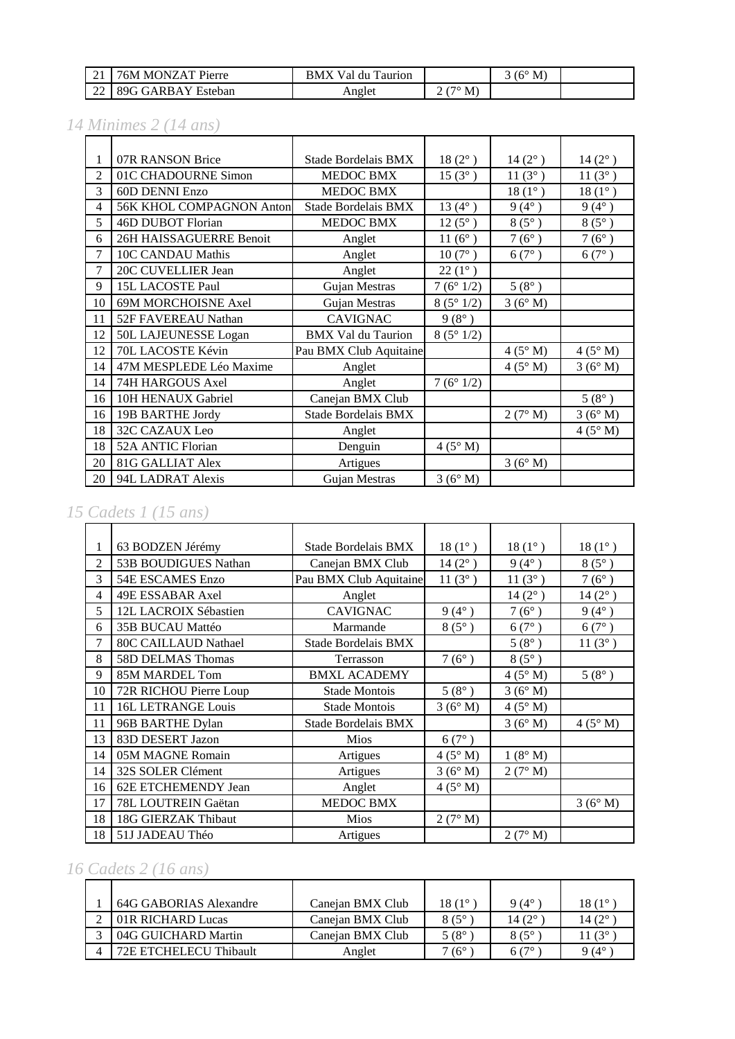| $\sim$ 1<br>$\sim$ 1 | MONZAT Pierre<br>76M                               | BMX<br>du<br>Val<br>Taurion |                   | $(6^{\circ}$<br>М<br>ັ |  |
|----------------------|----------------------------------------------------|-----------------------------|-------------------|------------------------|--|
| $\sim$<br>--         | 80 $\epsilon$<br>$\ldots$ t GARBAV $^-$<br>Esteban | Anglet                      | $7^\circ$ M)<br>- |                        |  |

### *14 Minimes 2 (14 ans)*

| 1              | 07R RANSON Brice                | Stade Bordelais BMX        | $18(2^{\circ})$  | $14(2^{\circ})$ | $14(2^{\circ})$ |
|----------------|---------------------------------|----------------------------|------------------|-----------------|-----------------|
| $\overline{2}$ | 01C CHADOURNE Simon             | MEDOC BMX                  | $15(3^{\circ})$  | $11(3^{\circ})$ | $11(3^{\circ})$ |
| 3              | 60D DENNI Enzo                  | <b>MEDOC BMX</b>           |                  | $18(1^{\circ})$ | $18(1^{\circ})$ |
| 4              | <b>56K KHOL COMPAGNON Anton</b> | <b>Stade Bordelais BMX</b> | 13 $(4^{\circ})$ | $9(4^{\circ})$  | $9(4^{\circ})$  |
| 5              | 46D DUBOT Florian               | <b>MEDOC BMX</b>           | $12(5^{\circ})$  | $8(5^\circ)$    | $8(5^{\circ})$  |
| 6              | 26H HAISSAGUERRE Benoit         | Anglet                     | 11 $(6^{\circ})$ | $7(6^{\circ})$  | $7(6^{\circ})$  |
| 7              | 10C CANDAU Mathis               | Anglet                     | $10(7^{\circ})$  | $6(7^{\circ})$  | $6(7^{\circ})$  |
| 7              | 20C CUVELLIER Jean              | Anglet                     | $22(1^{\circ})$  |                 |                 |
| 9              | 15L LACOSTE Paul                | Gujan Mestras              | 7(6°1/2)         | $5(8^{\circ})$  |                 |
| 10             | 69M MORCHOISNE Axel             | Gujan Mestras              | 8(5°1/2)         | 3(6° M)         |                 |
| 11             | 52F FAVEREAU Nathan             | <b>CAVIGNAC</b>            | $9(8^{\circ})$   |                 |                 |
| 12             | 50L LAJEUNESSE Logan            | <b>BMX Val du Taurion</b>  | 8(5°1/2)         |                 |                 |
| 12             | 70L LACOSTE Kévin               | Pau BMX Club Aquitaine     |                  | $4(5^\circ M)$  | $4(5^\circ M)$  |
| 14             | 47M MESPLEDE Léo Maxime         | Anglet                     |                  | 4(5° M)         | 3(6° M)         |
| 14             | 74H HARGOUS Axel                | Anglet                     | 7(6°1/2)         |                 |                 |
| 16             | 10H HENAUX Gabriel              | Canejan BMX Club           |                  |                 | $5(8^{\circ})$  |
| 16             | 19B BARTHE Jordy                | <b>Stade Bordelais BMX</b> |                  | 2(7° M)         | 3(6° M)         |
| 18             | <b>32C CAZAUX Leo</b>           | Anglet                     |                  |                 | $4(5^\circ M)$  |
| 18             | 52A ANTIC Florian               | Denguin                    | $4(5^\circ M)$   |                 |                 |
| 20             | <b>81G GALLIAT Alex</b>         | Artigues                   |                  | 3(6° M)         |                 |
| 20             | 94L LADRAT Alexis               | Gujan Mestras              | 3(6° M)          |                 |                 |

## *15 Cadets 1 (15 ans)*

| 1              | 63 BODZEN Jérémy          | Stade Bordelais BMX    | $18(1^{\circ})$  | $18(1^{\circ})$ | $18(1^{\circ})$  |
|----------------|---------------------------|------------------------|------------------|-----------------|------------------|
| $\mathfrak{D}$ | 53B BOUDIGUES Nathan      | Canejan BMX Club       | $14(2^{\circ})$  | $9(4^{\circ})$  | $8(5^{\circ})$   |
| 3              | 54E ESCAMES Enzo          | Pau BMX Club Aquitaine | 11 $(3^{\circ})$ | $11(3^{\circ})$ | $7(6^{\circ})$   |
| $\overline{4}$ | 49E ESSABAR Axel          | Anglet                 |                  | $14(2^{\circ})$ | $14(2^{\circ})$  |
| 5              | 12L LACROIX Sébastien     | <b>CAVIGNAC</b>        | $9(4^{\circ})$   | $7(6^{\circ})$  | $9(4^{\circ})$   |
| 6              | 35B BUCAU Mattéo          | Marmande               | $8(5^\circ)$     | $6(7^{\circ})$  | $6(7^{\circ})$   |
| 7              | 80C CAILLAUD Nathael      | Stade Bordelais BMX    |                  | $5(8^{\circ})$  | 11 $(3^{\circ})$ |
| 8              | 58D DELMAS Thomas         | Terrasson              | $7(6^{\circ})$   | $8(5^{\circ})$  |                  |
| 9              | 85M MARDEL Tom            | <b>BMXL ACADEMY</b>    |                  | 4(5° M)         | $5(8^{\circ})$   |
| 10             | 72R RICHOU Pierre Loup    | <b>Stade Montois</b>   | $5(8^{\circ})$   | 3(6° M)         |                  |
| 11             | <b>16L LETRANGE Louis</b> | <b>Stade Montois</b>   | 3(6° M)          | $4(5^\circ M)$  |                  |
| 11             | 96B BARTHE Dylan          | Stade Bordelais BMX    |                  | 3(6° M)         | $4(5^\circ M)$   |
| 13             | 83D DESERT Jazon          | <b>Mios</b>            | $6(7^{\circ})$   |                 |                  |
| 14             | 05M MAGNE Romain          | Artigues               | $4(5^\circ M)$   | 1(8° M)         |                  |
| 14             | 32S SOLER Clément         | Artigues               | 3(6° M)          | 2(7° M)         |                  |
| 16             | 62E ETCHEMENDY Jean       | Anglet                 | $4(5^\circ M)$   |                 |                  |
| 17             | 78L LOUTREIN Gaëtan       | MEDOC BMX              |                  |                 | 3(6° M)          |
| 18             | 18G GIERZAK Thibaut       | Mios                   | 2(7° M)          |                 |                  |
| 18             | 51J JADEAU Théo           | Artigues               |                  | 2(7° M)         |                  |

# *16 Cadets 2 (16 ans)*

| 64G GABORIAS Alexandre | Canejan BMX Club | $18(1^{\circ})$ | $9(4^{\circ}$     | $18(1^{\circ}$   |
|------------------------|------------------|-----------------|-------------------|------------------|
| 01R RICHARD Lucas      | Canejan BMX Club | $8(5^\circ$     | 14 $(2^{\circ})$  | 14 $(2^{\circ})$ |
| 04G GUICHARD Martin    | Canejan BMX Club | 5 (8°           | $8(5^\circ$       | $1(3^{\circ})$   |
| 72E ETCHELECU Thibault | Anglet           | $(6^\circ$      | $6^{(7^{\circ})}$ | 9 $(4^{\circ}$   |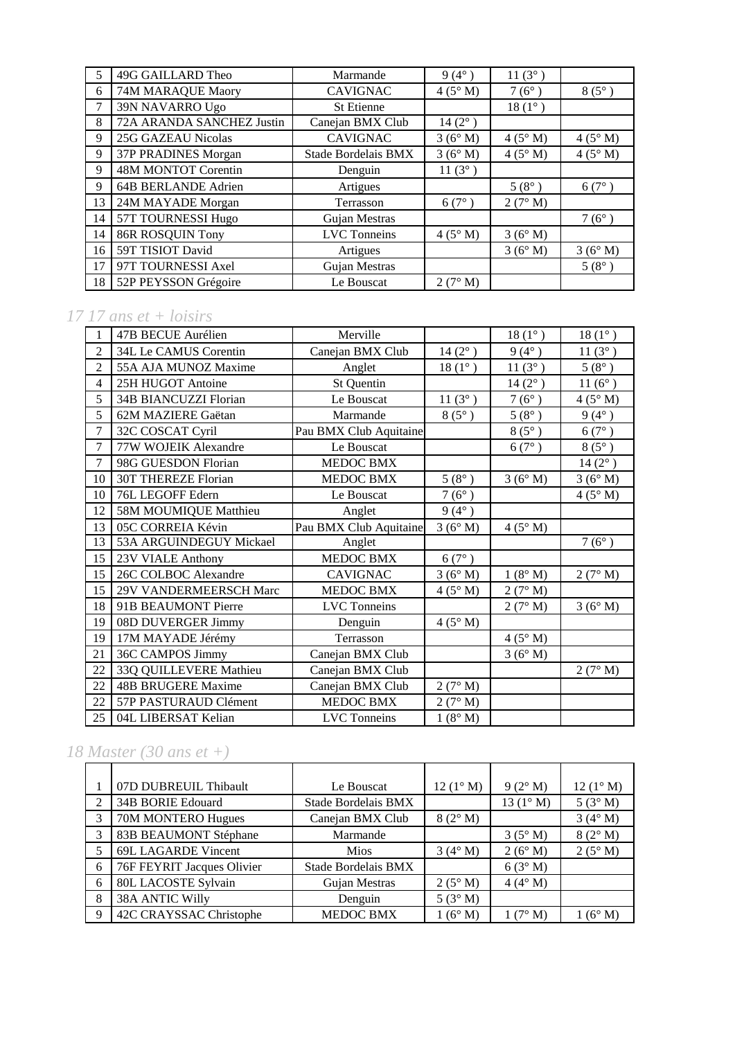| 5  | 49G GAILLARD Theo         | Marmande            | $9(4^{\circ})$   | $11(3^{\circ})$ |                |
|----|---------------------------|---------------------|------------------|-----------------|----------------|
| 6  | 74M MARAQUE Maory         | <b>CAVIGNAC</b>     | $4(5^\circ M)$   | $7(6^{\circ})$  | $8(5^\circ)$   |
| 7  | 39N NAVARRO Ugo           | <b>St Etienne</b>   |                  | $18(1^{\circ})$ |                |
| 8  | 72A ARANDA SANCHEZ Justin | Canejan BMX Club    | $14(2^{\circ})$  |                 |                |
| 9  | <b>25G GAZEAU Nicolas</b> | <b>CAVIGNAC</b>     | 3(6° M)          | $4(5^\circ M)$  | $4(5^\circ M)$ |
| 9  | 37P PRADINES Morgan       | Stade Bordelais BMX | 3(6° M)          | 4(5° M)         | $4(5^\circ M)$ |
| 9  | 48M MONTOT Corentin       | Denguin             | 11 $(3^{\circ})$ |                 |                |
| 9  | 64B BERLANDE Adrien       | Artigues            |                  | $5(8^{\circ})$  | $6(7^{\circ})$ |
| 13 | 24M MAYADE Morgan         | Terrasson           | $6(7^{\circ})$   | 2(7° M)         |                |
| 14 | 57T TOURNESSI Hugo        | Gujan Mestras       |                  |                 | $7(6^{\circ})$ |
| 14 | <b>86R ROSQUIN Tony</b>   | <b>LVC</b> Tonneins | 4(5° M)          | 3(6° M)         |                |
| 16 | 59T TISIOT David          | Artigues            |                  | 3(6° M)         | 3(6° M)        |
| 17 | 97T TOURNESSI Axel        | Gujan Mestras       |                  |                 | $5(8^{\circ})$ |
| 18 | 52P PEYSSON Grégoire      | Le Bouscat          | 2(7° M)          |                 |                |

### *17 17 ans et + loisirs*

|                | 47B BECUE Aurélien         | Merville               |                  | $18(1^{\circ})$  | $18(1^{\circ})$ |
|----------------|----------------------------|------------------------|------------------|------------------|-----------------|
| $\overline{c}$ | 34L Le CAMUS Corentin      | Canejan BMX Club       | $14(2^{\circ})$  | $9(4^{\circ})$   | 11(3°)          |
| $\overline{c}$ | 55A AJA MUNOZ Maxime       | Anglet                 | $18(1^{\circ})$  | $11(3^{\circ})$  | $5(8^{\circ})$  |
| 4              | 25H HUGOT Antoine          | St Quentin             |                  | $14\,(2^\circ$ ) | $11(6^{\circ})$ |
| 5              | 34B BIANCUZZI Florian      | Le Bouscat             | 11 $(3^{\circ})$ | $7(6^{\circ})$   | 4(5° M)         |
| 5              | 62M MAZIERE Gaëtan         | Marmande               | $8(5^{\circ})$   | $5(8^{\circ})$   | $9(4^{\circ})$  |
| $\overline{7}$ | 32C COSCAT Cyril           | Pau BMX Club Aquitaine |                  | $8(5^{\circ})$   | $6(7^{\circ})$  |
| 7              | 77W WOJEIK Alexandre       | Le Bouscat             |                  | 6(7°)            | $8(5^{\circ})$  |
| 7              | 98G GUESDON Florian        | MEDOC BMX              |                  |                  | $14(2^{\circ})$ |
| 10             | <b>30T THEREZE Florian</b> | MEDOC BMX              | $5(8^{\circ})$   | 3(6° M)          | 3(6° M)         |
| 10             | 76L LEGOFF Edern           | Le Bouscat             | $7(6^{\circ})$   |                  | $4(5^\circ M)$  |
| 12             | 58M MOUMIQUE Matthieu      | Anglet                 | $9(4^{\circ})$   |                  |                 |
| 13             | 05C CORREIA Kévin          | Pau BMX Club Aquitaine | 3(6° M)          | $4(5^\circ M)$   |                 |
| 13             | 53A ARGUINDEGUY Mickael    | Anglet                 |                  |                  | $7(6^{\circ})$  |
| 15             | 23V VIALE Anthony          | MEDOC BMX              | $6(7^\circ)$     |                  |                 |
| 15             | 26C COLBOC Alexandre       | <b>CAVIGNAC</b>        | 3(6° M)          | 1(8° M)          | 2(7° M)         |
| 15             | 29V VANDERMEERSCH Marc     | MEDOC BMX              | $4(5^\circ M)$   | 2(7° M)          |                 |
| 18             | 91B BEAUMONT Pierre        | <b>LVC</b> Tonneins    |                  | 2(7° M)          | 3(6° M)         |
| 19             | 08D DUVERGER Jimmy         | Denguin                | $4(5^\circ M)$   |                  |                 |
| 19             | 17M MAYADE Jérémy          | Terrasson              |                  | $4(5^\circ M)$   |                 |
| 21             | 36C CAMPOS Jimmy           | Canejan BMX Club       |                  | 3(6° M)          |                 |
| 22             | 33Q QUILLEVERE Mathieu     | Canejan BMX Club       |                  |                  | 2(7° M)         |
| 22             | <b>48B BRUGERE Maxime</b>  | Canejan BMX Club       | 2(7° M)          |                  |                 |
| 22             | 57P PASTURAUD Clément      | <b>MEDOC BMX</b>       | 2(7° M)          |                  |                 |
| 25             | 04L LIBERSAT Kelian        | <b>LVC</b> Tonneins    | 1(8° M)          |                  |                 |

# *18 Master (30 ans et +)*

|   | 07D DUBREUIL Thibault      | Le Bouscat          | $12(1^{\circ} M)$ | $9(2^{\circ} M)$   | $12(1^{\circ} M)$ |
|---|----------------------------|---------------------|-------------------|--------------------|-------------------|
| 2 | 34B BORIE Edouard          | Stade Bordelais BMX |                   | 13 $(1^{\circ} M)$ | 5(3° M)           |
| 3 | 70M MONTERO Hugues         | Canejan BMX Club    | 8(2° M)           |                    | $3(4^\circ M)$    |
| 3 | 83B BEAUMONT Stéphane      | Marmande            |                   | $3(5^\circ M)$     | 8(2° M)           |
| 5 | 69L LAGARDE Vincent        | <b>Mios</b>         | $3(4^{\circ} M)$  | 2(6° M)            | $2(5^\circ M)$    |
| 6 | 76F FEYRIT Jacques Olivier | Stade Bordelais BMX |                   | 6(3° M)            |                   |
| 6 | 80L LACOSTE Sylvain        | Gujan Mestras       | $2(5^\circ M)$    | 4(4° M)            |                   |
| 8 | <b>38A ANTIC Willy</b>     | Denguin             | 5(3° M)           |                    |                   |
| 9 | 42C CRAYSSAC Christophe    | <b>MEDOC BMX</b>    | $(6^\circ M)$     | $(7^\circ M)$      | $1(6^{\circ} M)$  |